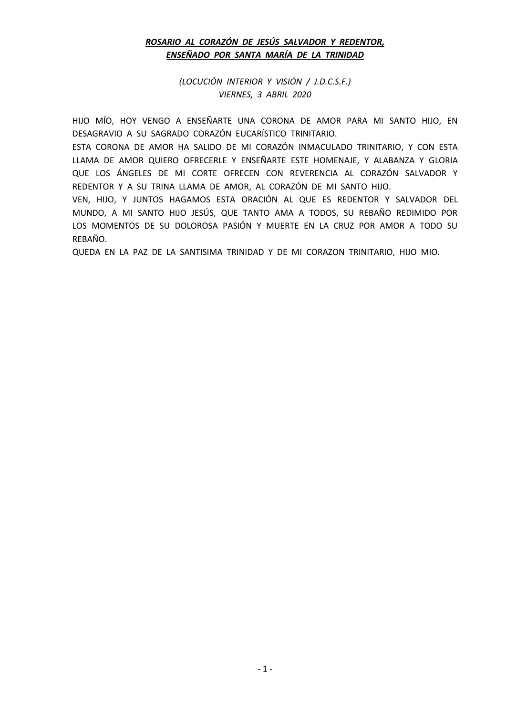# *ROSARIO AL CORAZÓN DE JESÚS SALVADOR Y REDENTOR, ENSEÑADO POR SANTA MARÍA DE LA TRINIDAD*

*(LOCUCIÓN INTERIOR Y VISIÓN / J.D.C.S.F.) VIERNES, 3 ABRIL 2020*

HIJO MÍO, HOY VENGO A ENSEÑARTE UNA CORONA DE AMOR PARA MI SANTO HIJO, EN DESAGRAVIO A SU SAGRADO CORAZÓN EUCARÍSTICO TRINITARIO.

ESTA CORONA DE AMOR HA SALIDO DE MI CORAZÓN INMACULADO TRINITARIO, Y CON ESTA LLAMA DE AMOR QUIERO OFRECERLE Y ENSEÑARTE ESTE HOMENAJE, Y ALABANZA Y GLORIA QUE LOS ÁNGELES DE MI CORTE OFRECEN CON REVERENCIA AL CORAZÓN SALVADOR Y REDENTOR Y A SU TRINA LLAMA DE AMOR, AL CORAZÓN DE MI SANTO HIJO.

VEN, HIJO, Y JUNTOS HAGAMOS ESTA ORACIÓN AL QUE ES REDENTOR Y SALVADOR DEL MUNDO, A MI SANTO HIJO JESÚS, QUE TANTO AMA A TODOS, SU REBAÑO REDIMIDO POR LOS MOMENTOS DE SU DOLOROSA PASIÓN Y MUERTE EN LA CRUZ POR AMOR A TODO SU REBAÑO.

QUEDA EN LA PAZ DE LA SANTISIMA TRINIDAD Y DE MI CORAZON TRINITARIO, HIJO MIO.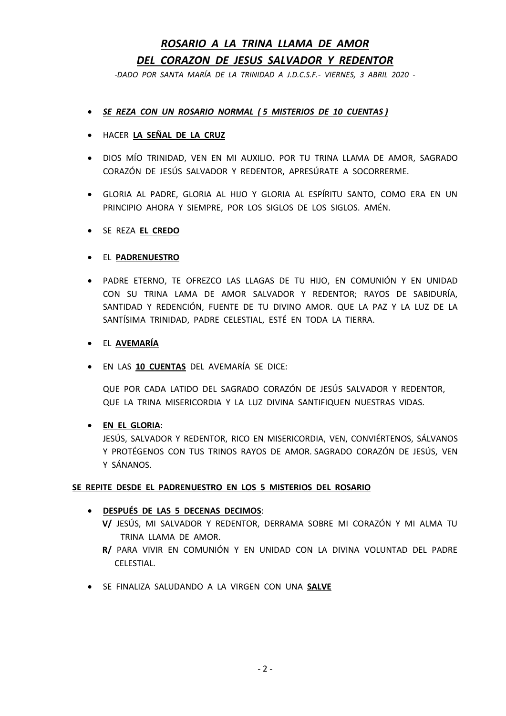# *ROSARIO A LA TRINA LLAMA DE AMOR DEL CORAZON DE JESUS SALVADOR Y REDENTOR*

*-DADO POR SANTA MARÍA DE LA TRINIDAD A J.D.C.S.F.- VIERNES, 3 ABRIL 2020 -*

- *SE REZA CON UN ROSARIO NORMAL ( 5 MISTERIOS DE 10 CUENTAS )*
- HACER **LA SEÑAL DE LA CRUZ**
- DIOS MÍO TRINIDAD, VEN EN MI AUXILIO. POR TU TRINA LLAMA DE AMOR, SAGRADO CORAZÓN DE JESÚS SALVADOR Y REDENTOR, APRESÚRATE A SOCORRERME.
- GLORIA AL PADRE, GLORIA AL HIJO Y GLORIA AL ESPÍRITU SANTO, COMO ERA EN UN PRINCIPIO AHORA Y SIEMPRE, POR LOS SIGLOS DE LOS SIGLOS. AMÉN.

### • SE REZA **EL CREDO**

### • EL **PADRENUESTRO**

- PADRE ETERNO, TE OFREZCO LAS LLAGAS DE TU HIJO, EN COMUNIÓN Y EN UNIDAD CON SU TRINA LAMA DE AMOR SALVADOR Y REDENTOR; RAYOS DE SABIDURÍA, SANTIDAD Y REDENCIÓN, FUENTE DE TU DIVINO AMOR. QUE LA PAZ Y LA LUZ DE LA SANTÍSIMA TRINIDAD, PADRE CELESTIAL, ESTÉ EN TODA LA TIERRA.
- EL **AVEMARÍA**
- EN LAS **10 CUENTAS** DEL AVEMARÍA SE DICE:

QUE POR CADA LATIDO DEL SAGRADO CORAZÓN DE JESÚS SALVADOR Y REDENTOR, QUE LA TRINA MISERICORDIA Y LA LUZ DIVINA SANTIFIQUEN NUESTRAS VIDAS.

#### • **EN EL GLORIA**:

JESÚS, SALVADOR Y REDENTOR, RICO EN MISERICORDIA, VEN, CONVIÉRTENOS, SÁLVANOS Y PROTÉGENOS CON TUS TRINOS RAYOS DE AMOR. SAGRADO CORAZÓN DE JESÚS, VEN Y SÁNANOS.

#### **SE REPITE DESDE EL PADRENUESTRO EN LOS 5 MISTERIOS DEL ROSARIO**

## • **DESPUÉS DE LAS 5 DECENAS DECIMOS**:

- **V/** JESÚS, MI SALVADOR Y REDENTOR, DERRAMA SOBRE MI CORAZÓN Y MI ALMA TU TRINA LLAMA DE AMOR.
- **R/** PARA VIVIR EN COMUNIÓN Y EN UNIDAD CON LA DIVINA VOLUNTAD DEL PADRE CELESTIAL.
- SE FINALIZA SALUDANDO A LA VIRGEN CON UNA **SALVE**